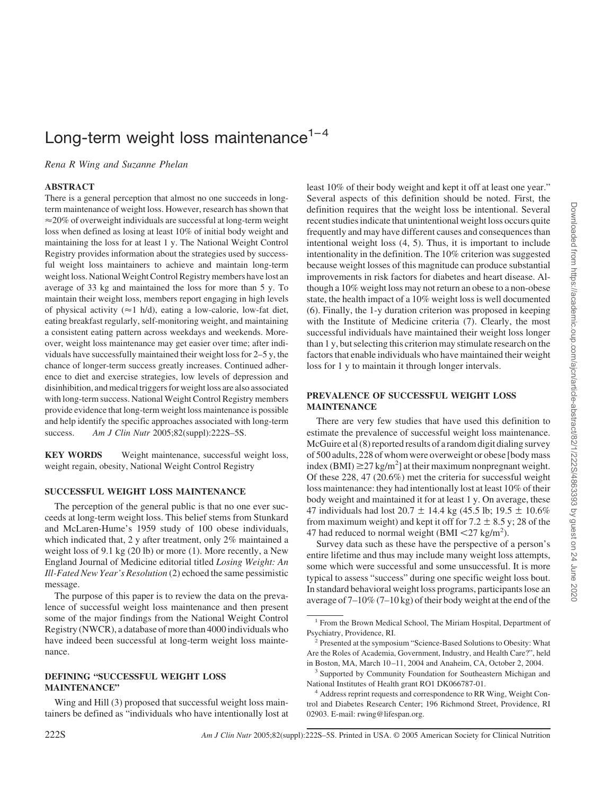# Long-term weight loss maintenance $1-4$

*Rena R Wing and Suzanne Phelan*

# **ABSTRACT**

There is a general perception that almost no one succeeds in longterm maintenance of weight loss. However, research has shown that  $\approx$  20% of overweight individuals are successful at long-term weight loss when defined as losing at least 10% of initial body weight and maintaining the loss for at least 1 y. The National Weight Control Registry provides information about the strategies used by successful weight loss maintainers to achieve and maintain long-term weight loss. National Weight Control Registry members have lost an average of 33 kg and maintained the loss for more than 5 y. To maintain their weight loss, members report engaging in high levels of physical activity ( $\approx$ 1 h/d), eating a low-calorie, low-fat diet, eating breakfast regularly, self-monitoring weight, and maintaining a consistent eating pattern across weekdays and weekends. Moreover, weight loss maintenance may get easier over time; after individuals have successfully maintained their weight loss for 2–5 y, the chance of longer-term success greatly increases. Continued adherence to diet and exercise strategies, low levels of depression and disinhibition, and medical triggers for weight loss are also associated with long-term success. National Weight Control Registry members provide evidence that long-term weight loss maintenance is possible and help identify the specific approaches associated with long-term success. *Am J Clin Nutr* 2005;82(suppl):222S–5S.

**KEY WORDS** Weight maintenance, successful weight loss, weight regain, obesity, National Weight Control Registry

#### **SUCCESSFUL WEIGHT LOSS MAINTENANCE**

The perception of the general public is that no one ever succeeds at long-term weight loss. This belief stems from Stunkard and McLaren-Hume's 1959 study of 100 obese individuals, which indicated that, 2 y after treatment, only 2% maintained a weight loss of 9.1 kg (20 lb) or more (1). More recently, a New England Journal of Medicine editorial titled *Losing Weight: An Ill-Fated New Year's Resolution* (2) echoed the same pessimistic message.

The purpose of this paper is to review the data on the prevalence of successful weight loss maintenance and then present some of the major findings from the National Weight Control Registry (NWCR), a database of more than 4000 individuals who have indeed been successful at long-term weight loss maintenance.

#### **DEFINING "SUCCESSFUL WEIGHT LOSS MAINTENANCE"**

Wing and Hill (3) proposed that successful weight loss maintainers be defined as "individuals who have intentionally lost at least 10% of their body weight and kept it off at least one year." Several aspects of this definition should be noted. First, the definition requires that the weight loss be intentional. Several recent studies indicate that unintentional weight loss occurs quite frequently and may have different causes and consequences than intentional weight loss (4, 5). Thus, it is important to include intentionality in the definition. The 10% criterion was suggested because weight losses of this magnitude can produce substantial improvements in risk factors for diabetes and heart disease. Although a 10% weight loss may not return an obese to a non-obese state, the health impact of a 10% weight loss is well documented (6). Finally, the 1-y duration criterion was proposed in keeping with the Institute of Medicine criteria (7). Clearly, the most successful individuals have maintained their weight loss longer than 1 y, but selecting this criterion may stimulate research on the factors that enable individuals who have maintained their weight loss for 1 y to maintain it through longer intervals.

# **PREVALENCE OF SUCCESSFUL WEIGHT LOSS MAINTENANCE**

There are very few studies that have used this definition to estimate the prevalence of successful weight loss maintenance. McGuire et al (8) reported results of a random digit dialing survey of 500 adults, 228 of whom were overweight or obese [body mass index (BMI)  $\geq$ 27 kg/m<sup>2</sup>] at their maximum nonpregnant weight. Of these 228, 47 (20.6%) met the criteria for successful weight loss maintenance: they had intentionally lost at least 10% of their body weight and maintained it for at least 1 y. On average, these 47 individuals had lost  $20.7 \pm 14.4$  kg (45.5 lb; 19.5  $\pm$  10.6% from maximum weight) and kept it off for  $7.2 \pm 8.5$  y; 28 of the 47 had reduced to normal weight (BMI  $\langle 27 \text{ kg/m}^2 \rangle$ ).

Survey data such as these have the perspective of a person's entire lifetime and thus may include many weight loss attempts, some which were successful and some unsuccessful. It is more typical to assess "success" during one specific weight loss bout. In standard behavioral weight loss programs, participants lose an average of 7–10% (7–10 kg) of their body weight at the end of the

<sup>&</sup>lt;sup>1</sup> From the Brown Medical School, The Miriam Hospital, Department of Psychiatry, Providence, RI.

<sup>2</sup> Presented at the symposium "Science-Based Solutions to Obesity: What Are the Roles of Academia, Government, Industry, and Health Care?", held in Boston, MA, March 10 –11, 2004 and Anaheim, CA, October 2, 2004.

<sup>3</sup> Supported by Community Foundation for Southeastern Michigan and National Institutes of Health grant RO1 DK066787-01.

<sup>&</sup>lt;sup>4</sup> Address reprint requests and correspondence to RR Wing, Weight Control and Diabetes Research Center; 196 Richmond Street, Providence, RI 02903. E-mail: rwing@lifespan.org.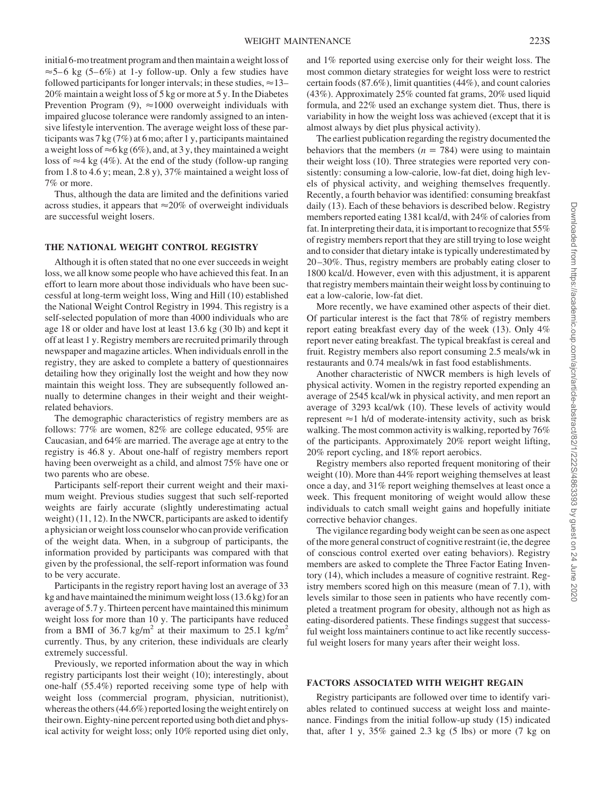initial 6-mo treatment program and then maintain a weight loss of  $\approx$  5–6 kg (5–6%) at 1-y follow-up. Only a few studies have followed participants for longer intervals; in these studies,  $\approx$  13– 20% maintain a weight loss of 5 kg or more at 5 y. In the Diabetes Prevention Program  $(9)$ ,  $\approx$  1000 overweight individuals with impaired glucose tolerance were randomly assigned to an intensive lifestyle intervention. The average weight loss of these participants was 7 kg (7%) at 6 mo; after 1 y, participants maintained a weight loss of  $\approx$  6 kg (6%), and, at 3 y, they maintained a weight loss of  $\approx$ 4 kg (4%). At the end of the study (follow-up ranging from 1.8 to 4.6 y; mean, 2.8 y), 37% maintained a weight loss of 7% or more.

Thus, although the data are limited and the definitions varied across studies, it appears that  $\approx 20\%$  of overweight individuals are successful weight losers.

# **THE NATIONAL WEIGHT CONTROL REGISTRY**

Although it is often stated that no one ever succeeds in weight loss, we all know some people who have achieved this feat. In an effort to learn more about those individuals who have been successful at long-term weight loss, Wing and Hill (10) established the National Weight Control Registry in 1994. This registry is a self-selected population of more than 4000 individuals who are age 18 or older and have lost at least 13.6 kg (30 lb) and kept it off at least 1 y. Registry members are recruited primarily through newspaper and magazine articles. When individuals enroll in the registry, they are asked to complete a battery of questionnaires detailing how they originally lost the weight and how they now maintain this weight loss. They are subsequently followed annually to determine changes in their weight and their weightrelated behaviors.

The demographic characteristics of registry members are as follows: 77% are women, 82% are college educated, 95% are Caucasian, and 64% are married. The average age at entry to the registry is 46.8 y. About one-half of registry members report having been overweight as a child, and almost 75% have one or two parents who are obese.

Participants self-report their current weight and their maximum weight. Previous studies suggest that such self-reported weights are fairly accurate (slightly underestimating actual weight) (11, 12). In the NWCR, participants are asked to identify a physician or weight loss counselor who can provide verification of the weight data. When, in a subgroup of participants, the information provided by participants was compared with that given by the professional, the self-report information was found to be very accurate.

Participants in the registry report having lost an average of 33 kg and have maintained the minimum weight loss (13.6 kg) for an average of 5.7 y. Thirteen percent have maintained this minimum weight loss for more than 10 y. The participants have reduced from a BMI of 36.7 kg/m<sup>2</sup> at their maximum to 25.1 kg/m<sup>2</sup> currently. Thus, by any criterion, these individuals are clearly extremely successful.

Previously, we reported information about the way in which registry participants lost their weight (10); interestingly, about one-half (55.4%) reported receiving some type of help with weight loss (commercial program, physician, nutritionist), whereas the others (44.6%) reported losing the weight entirely on their own. Eighty-nine percent reported using both diet and physical activity for weight loss; only 10% reported using diet only, and 1% reported using exercise only for their weight loss. The most common dietary strategies for weight loss were to restrict certain foods (87.6%), limit quantities (44%), and count calories (43%). Approximately 25% counted fat grams, 20% used liquid formula, and 22% used an exchange system diet. Thus, there is variability in how the weight loss was achieved (except that it is almost always by diet plus physical activity).

The earliest publication regarding the registry documented the behaviors that the members  $(n = 784)$  were using to maintain their weight loss (10). Three strategies were reported very consistently: consuming a low-calorie, low-fat diet, doing high levels of physical activity, and weighing themselves frequently. Recently, a fourth behavior was identified: consuming breakfast daily (13). Each of these behaviors is described below. Registry members reported eating 1381 kcal/d, with 24% of calories from fat. In interpreting their data, it is important to recognize that 55% of registry members report that they are still trying to lose weight and to consider that dietary intake is typically underestimated by 20 –30%. Thus, registry members are probably eating closer to 1800 kcal/d. However, even with this adjustment, it is apparent that registry members maintain their weight loss by continuing to eat a low-calorie, low-fat diet.

More recently, we have examined other aspects of their diet. Of particular interest is the fact that 78% of registry members report eating breakfast every day of the week (13). Only 4% report never eating breakfast. The typical breakfast is cereal and fruit. Registry members also report consuming 2.5 meals/wk in restaurants and 0.74 meals/wk in fast food establishments.

Another characteristic of NWCR members is high levels of physical activity. Women in the registry reported expending an average of 2545 kcal/wk in physical activity, and men report an average of 3293 kcal/wk (10). These levels of activity would represent  $\approx$  1 h/d of moderate-intensity activity, such as brisk walking. The most common activity is walking, reported by 76% of the participants. Approximately 20% report weight lifting, 20% report cycling, and 18% report aerobics.

Registry members also reported frequent monitoring of their weight (10). More than 44% report weighing themselves at least once a day, and 31% report weighing themselves at least once a week. This frequent monitoring of weight would allow these individuals to catch small weight gains and hopefully initiate corrective behavior changes.

The vigilance regarding body weight can be seen as one aspect of the more general construct of cognitive restraint (ie, the degree of conscious control exerted over eating behaviors). Registry members are asked to complete the Three Factor Eating Inventory (14), which includes a measure of cognitive restraint. Registry members scored high on this measure (mean of 7.1), with levels similar to those seen in patients who have recently completed a treatment program for obesity, although not as high as eating-disordered patients. These findings suggest that successful weight loss maintainers continue to act like recently successful weight losers for many years after their weight loss.

#### **FACTORS ASSOCIATED WITH WEIGHT REGAIN**

Registry participants are followed over time to identify variables related to continued success at weight loss and maintenance. Findings from the initial follow-up study (15) indicated that, after 1 y,  $35\%$  gained 2.3 kg  $(5 \text{ lbs})$  or more  $(7 \text{ kg on})$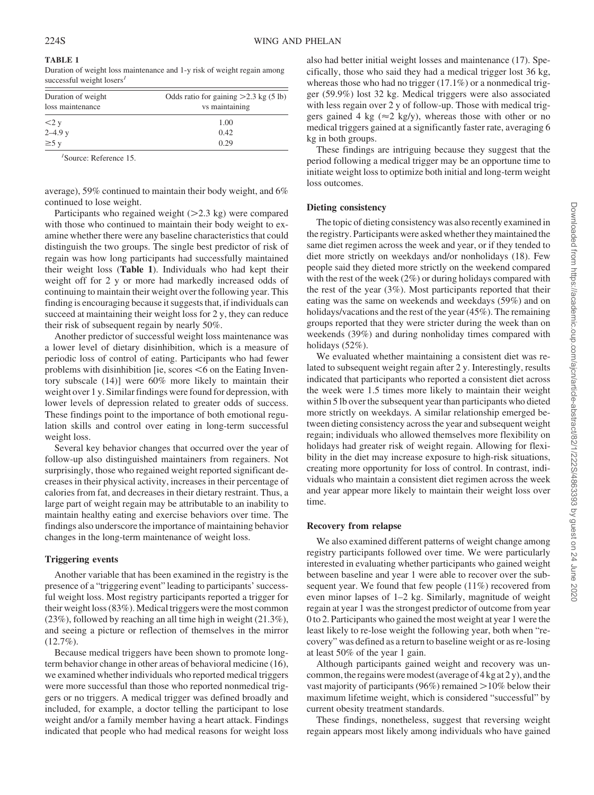| <b>TABLE 1</b>                                                          |  |
|-------------------------------------------------------------------------|--|
| Duration of weight loss maintenance and 1-y risk of weight regain among |  |
| successful weight $lossT$                                               |  |

| Duration of weight<br>loss maintenance | Odds ratio for gaining $>2.3$ kg (5 lb)<br>vs maintaining |
|----------------------------------------|-----------------------------------------------------------|
|                                        |                                                           |
| $<$ 2 y<br>2–4.9 y<br>≥5 y             | 1.00                                                      |
|                                        | 0.42                                                      |
|                                        | 0.29                                                      |

*1* Source: Reference 15.

average), 59% continued to maintain their body weight, and 6% continued to lose weight.

Participants who regained weight  $(>2.3 \text{ kg})$  were compared with those who continued to maintain their body weight to examine whether there were any baseline characteristics that could distinguish the two groups. The single best predictor of risk of regain was how long participants had successfully maintained their weight loss (**Table 1**). Individuals who had kept their weight off for 2 y or more had markedly increased odds of continuing to maintain their weight over the following year. This finding is encouraging because it suggests that, if individuals can succeed at maintaining their weight loss for 2 y, they can reduce their risk of subsequent regain by nearly 50%.

Another predictor of successful weight loss maintenance was a lower level of dietary disinhibition, which is a measure of periodic loss of control of eating. Participants who had fewer problems with disinhibition  $[ie, scores < 6$  on the Eating Inventory subscale (14)] were 60% more likely to maintain their weight over 1 y. Similar findings were found for depression, with lower levels of depression related to greater odds of success. These findings point to the importance of both emotional regulation skills and control over eating in long-term successful weight loss.

Several key behavior changes that occurred over the year of follow-up also distinguished maintainers from regainers. Not surprisingly, those who regained weight reported significant decreases in their physical activity, increases in their percentage of calories from fat, and decreases in their dietary restraint. Thus, a large part of weight regain may be attributable to an inability to maintain healthy eating and exercise behaviors over time. The findings also underscore the importance of maintaining behavior changes in the long-term maintenance of weight loss.

# **Triggering events**

Another variable that has been examined in the registry is the presence of a "triggering event" leading to participants' successful weight loss. Most registry participants reported a trigger for their weight loss (83%). Medical triggers were the most common (23%), followed by reaching an all time high in weight (21.3%), and seeing a picture or reflection of themselves in the mirror (12.7%).

Because medical triggers have been shown to promote longterm behavior change in other areas of behavioral medicine (16), we examined whether individuals who reported medical triggers were more successful than those who reported nonmedical triggers or no triggers. A medical trigger was defined broadly and included, for example, a doctor telling the participant to lose weight and/or a family member having a heart attack. Findings indicated that people who had medical reasons for weight loss also had better initial weight losses and maintenance (17). Specifically, those who said they had a medical trigger lost 36 kg, whereas those who had no trigger (17.1%) or a nonmedical trigger (59.9%) lost 32 kg. Medical triggers were also associated with less regain over 2 y of follow-up. Those with medical triggers gained 4 kg ( $\approx$ 2 kg/y), whereas those with other or no medical triggers gained at a significantly faster rate, averaging 6 kg in both groups.

These findings are intriguing because they suggest that the period following a medical trigger may be an opportune time to initiate weight loss to optimize both initial and long-term weight loss outcomes.

#### **Dieting consistency**

The topic of dieting consistency was also recently examined in the registry. Participants were asked whether they maintained the same diet regimen across the week and year, or if they tended to diet more strictly on weekdays and/or nonholidays (18). Few people said they dieted more strictly on the weekend compared with the rest of the week  $(2\%)$  or during holidays compared with the rest of the year (3%). Most participants reported that their eating was the same on weekends and weekdays (59%) and on holidays/vacations and the rest of the year (45%). The remaining groups reported that they were stricter during the week than on weekends (39%) and during nonholiday times compared with holidays (52%).

We evaluated whether maintaining a consistent diet was related to subsequent weight regain after 2 y. Interestingly, results indicated that participants who reported a consistent diet across the week were 1.5 times more likely to maintain their weight within 5 lb over the subsequent year than participants who dieted more strictly on weekdays. A similar relationship emerged between dieting consistency across the year and subsequent weight regain; individuals who allowed themselves more flexibility on holidays had greater risk of weight regain. Allowing for flexibility in the diet may increase exposure to high-risk situations, creating more opportunity for loss of control. In contrast, individuals who maintain a consistent diet regimen across the week and year appear more likely to maintain their weight loss over time.

#### **Recovery from relapse**

We also examined different patterns of weight change among registry participants followed over time. We were particularly interested in evaluating whether participants who gained weight between baseline and year 1 were able to recover over the subsequent year. We found that few people (11%) recovered from even minor lapses of 1–2 kg. Similarly, magnitude of weight regain at year 1 was the strongest predictor of outcome from year 0 to 2. Participants who gained the most weight at year 1 were the least likely to re-lose weight the following year, both when "recovery" was defined as a return to baseline weight or as re-losing at least 50% of the year 1 gain.

Although participants gained weight and recovery was uncommon, the regains were modest (average of 4 kg at 2 y), and the vast majority of participants (96%) remained  $>10\%$  below their maximum lifetime weight, which is considered "successful" by current obesity treatment standards.

These findings, nonetheless, suggest that reversing weight regain appears most likely among individuals who have gained